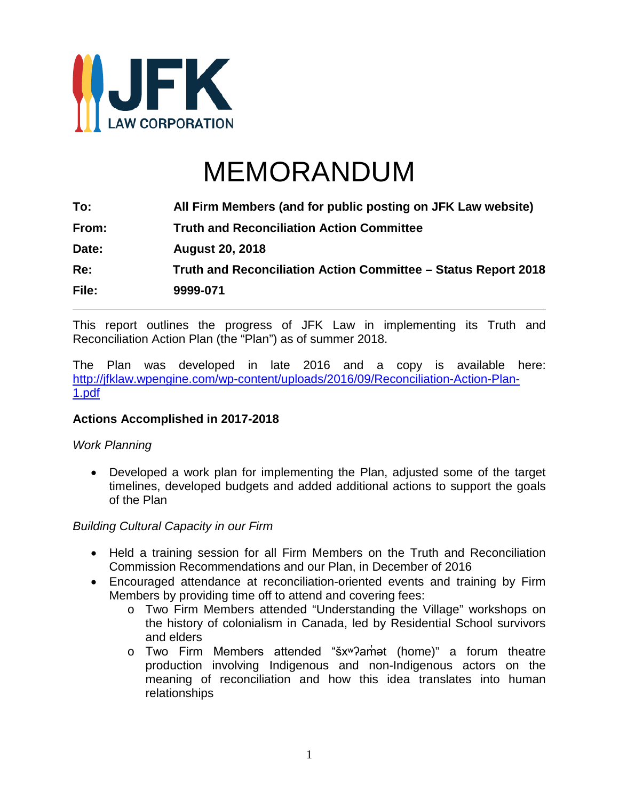

# MEMORANDUM

| All Firm Members (and for public posting on JFK Law website)   |
|----------------------------------------------------------------|
| <b>Truth and Reconciliation Action Committee</b>               |
| <b>August 20, 2018</b>                                         |
| Truth and Reconciliation Action Committee - Status Report 2018 |
| 9999-071                                                       |
|                                                                |

This report outlines the progress of JFK Law in implementing its Truth and Reconciliation Action Plan (the "Plan") as of summer 2018.

The Plan was developed in late 2016 and a copy is available here: [http://jfklaw.wpengine.com/wp-content/uploads/2016/09/Reconciliation-Action-Plan-](http://jfklaw.wpengine.com/wp-content/uploads/2016/09/Reconciliation-Action-Plan-1.pdf)[1.pdf](http://jfklaw.wpengine.com/wp-content/uploads/2016/09/Reconciliation-Action-Plan-1.pdf)

#### **Actions Accomplished in 2017-2018**

#### *Work Planning*

• Developed a work plan for implementing the Plan, adjusted some of the target timelines, developed budgets and added additional actions to support the goals of the Plan

#### *Building Cultural Capacity in our Firm*

- Held a training session for all Firm Members on the Truth and Reconciliation Commission Recommendations and our Plan, in December of 2016
- Encouraged attendance at reconciliation-oriented events and training by Firm Members by providing time off to attend and covering fees:
	- o Two Firm Members attended "Understanding the Village" workshops on the history of colonialism in Canada, led by Residential School survivors and elders
	- o Two Firm Members attended "šx<sup>w</sup>?am<sup>ed</sup> (home)" a forum theatre production involving Indigenous and non-Indigenous actors on the meaning of reconciliation and how this idea translates into human relationships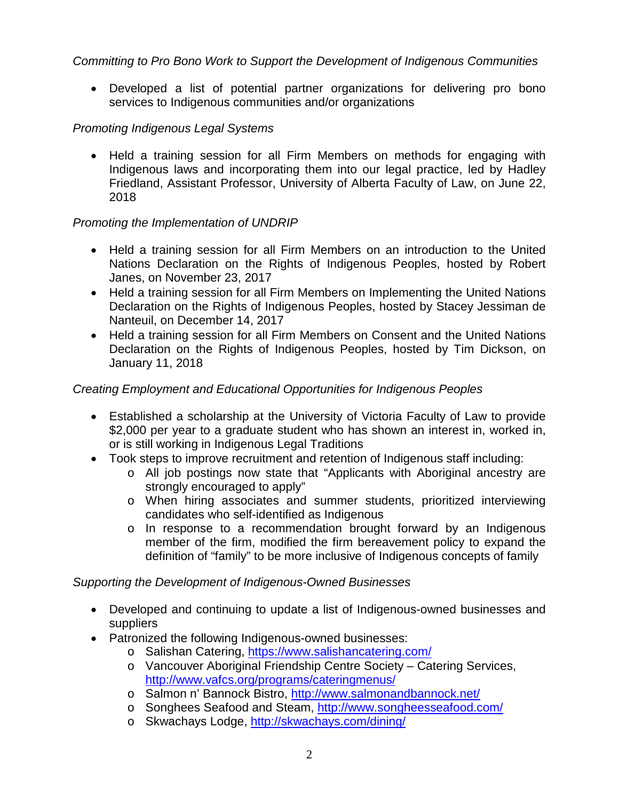# *Committing to Pro Bono Work to Support the Development of Indigenous Communities*

• Developed a list of potential partner organizations for delivering pro bono services to Indigenous communities and/or organizations

## *Promoting Indigenous Legal Systems*

• Held a training session for all Firm Members on methods for engaging with Indigenous laws and incorporating them into our legal practice, led by Hadley Friedland, Assistant Professor, University of Alberta Faculty of Law, on June 22, 2018

#### *Promoting the Implementation of UNDRIP*

- Held a training session for all Firm Members on an introduction to the United Nations Declaration on the Rights of Indigenous Peoples, hosted by Robert Janes, on November 23, 2017
- Held a training session for all Firm Members on Implementing the United Nations Declaration on the Rights of Indigenous Peoples, hosted by Stacey Jessiman de Nanteuil, on December 14, 2017
- Held a training session for all Firm Members on Consent and the United Nations Declaration on the Rights of Indigenous Peoples, hosted by Tim Dickson, on January 11, 2018

## *Creating Employment and Educational Opportunities for Indigenous Peoples*

- Established a scholarship at the University of Victoria Faculty of Law to provide \$2,000 per year to a graduate student who has shown an interest in, worked in, or is still working in Indigenous Legal Traditions
- Took steps to improve recruitment and retention of Indigenous staff including:
	- o All job postings now state that "Applicants with Aboriginal ancestry are strongly encouraged to apply"
	- o When hiring associates and summer students, prioritized interviewing candidates who self-identified as Indigenous
	- o In response to a recommendation brought forward by an Indigenous member of the firm, modified the firm bereavement policy to expand the definition of "family" to be more inclusive of Indigenous concepts of family

#### *Supporting the Development of Indigenous-Owned Businesses*

- Developed and continuing to update a list of Indigenous-owned businesses and suppliers
- Patronized the following Indigenous-owned businesses:
	- o Salishan Catering,<https://www.salishancatering.com/>
	- o Vancouver Aboriginal Friendship Centre Society Catering Services, <http://www.vafcs.org/programs/cateringmenus/>
	- o Salmon n' Bannock Bistro,<http://www.salmonandbannock.net/>
	- o Songhees Seafood and Steam,<http://www.songheesseafood.com/>
	- o Skwachays Lodge,<http://skwachays.com/dining/>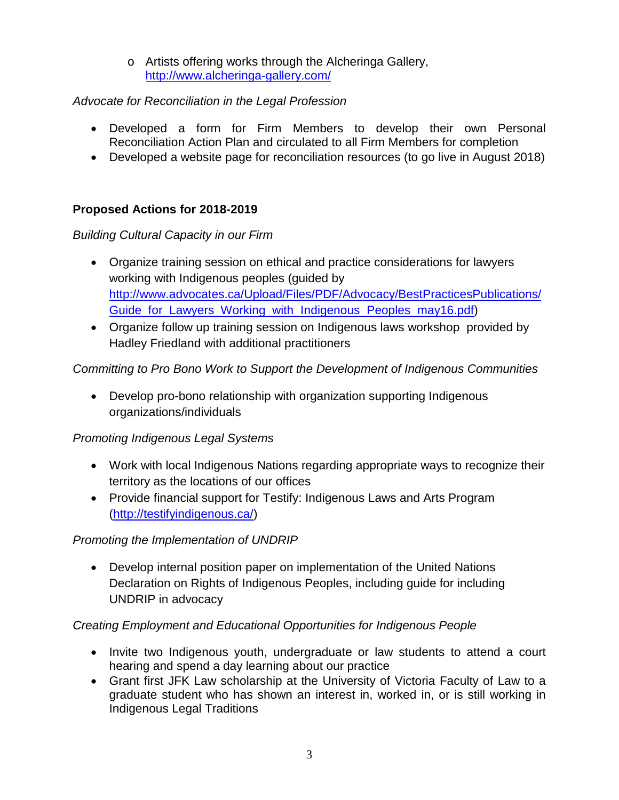o Artists offering works through the Alcheringa Gallery, <http://www.alcheringa-gallery.com/>

## *Advocate for Reconciliation in the Legal Profession*

- Developed a form for Firm Members to develop their own Personal Reconciliation Action Plan and circulated to all Firm Members for completion
- Developed a website page for reconciliation resources (to go live in August 2018)

## **Proposed Actions for 2018-2019**

## *Building Cultural Capacity in our Firm*

- Organize training session on ethical and practice considerations for lawyers working with Indigenous peoples (guided by [http://www.advocates.ca/Upload/Files/PDF/Advocacy/BestPracticesPublications/](http://www.advocates.ca/Upload/Files/PDF/Advocacy/BestPracticesPublications/Guide_for_Lawyers_Working_with_Indigenous_Peoples_may16.pdf) [Guide\\_for\\_Lawyers\\_Working\\_with\\_Indigenous\\_Peoples\\_may16.pdf\)](http://www.advocates.ca/Upload/Files/PDF/Advocacy/BestPracticesPublications/Guide_for_Lawyers_Working_with_Indigenous_Peoples_may16.pdf)
- Organize follow up training session on Indigenous laws workshop provided by Hadley Friedland with additional practitioners

## *Committing to Pro Bono Work to Support the Development of Indigenous Communities*

• Develop pro-bono relationship with organization supporting Indigenous organizations/individuals

#### *Promoting Indigenous Legal Systems*

- Work with local Indigenous Nations regarding appropriate ways to recognize their territory as the locations of our offices
- Provide financial support for Testify: Indigenous Laws and Arts Program [\(http://testifyindigenous.ca/\)](http://testifyindigenous.ca/)

# *Promoting the Implementation of UNDRIP*

• Develop internal position paper on implementation of the United Nations Declaration on Rights of Indigenous Peoples, including guide for including UNDRIP in advocacy

# *Creating Employment and Educational Opportunities for Indigenous People*

- Invite two Indigenous youth, undergraduate or law students to attend a court hearing and spend a day learning about our practice
- Grant first JFK Law scholarship at the University of Victoria Faculty of Law to a graduate student who has shown an interest in, worked in, or is still working in Indigenous Legal Traditions